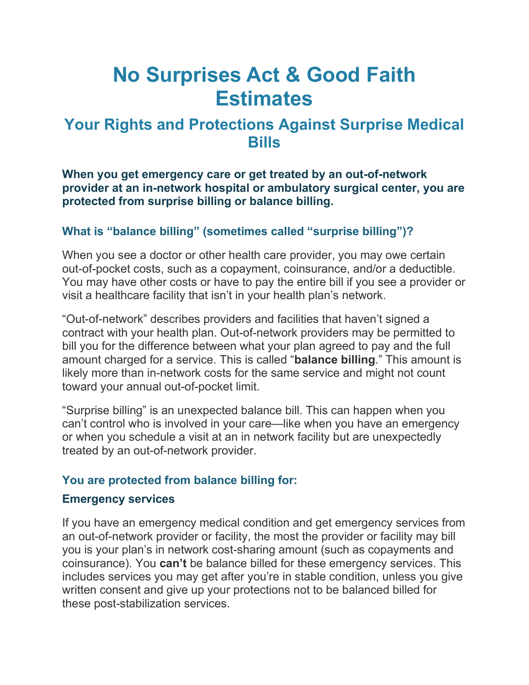# **No Surprises Act & Good Faith Estimates**

# **Your Rights and Protections Against Surprise Medical Bills**

**When you get emergency care or get treated by an out-of-network provider at an in-network hospital or ambulatory surgical center, you are protected from surprise billing or balance billing.**

# **What is "balance billing" (sometimes called "surprise billing")?**

When you see a doctor or other health care provider, you may owe certain out-of-pocket costs, such as a copayment, coinsurance, and/or a deductible. You may have other costs or have to pay the entire bill if you see a provider or visit a healthcare facility that isn't in your health plan's network.

"Out-of-network" describes providers and facilities that haven't signed a contract with your health plan. Out-of-network providers may be permitted to bill you for the difference between what your plan agreed to pay and the full amount charged for a service. This is called "**balance billing**." This amount is likely more than in-network costs for the same service and might not count toward your annual out-of-pocket limit.

"Surprise billing" is an unexpected balance bill. This can happen when you can't control who is involved in your care—like when you have an emergency or when you schedule a visit at an in network facility but are unexpectedly treated by an out-of-network provider.

## **You are protected from balance billing for:**

#### **Emergency services**

If you have an emergency medical condition and get emergency services from an out-of-network provider or facility, the most the provider or facility may bill you is your plan's in network cost-sharing amount (such as copayments and coinsurance). You **can't** be balance billed for these emergency services. This includes services you may get after you're in stable condition, unless you give written consent and give up your protections not to be balanced billed for these post-stabilization services.